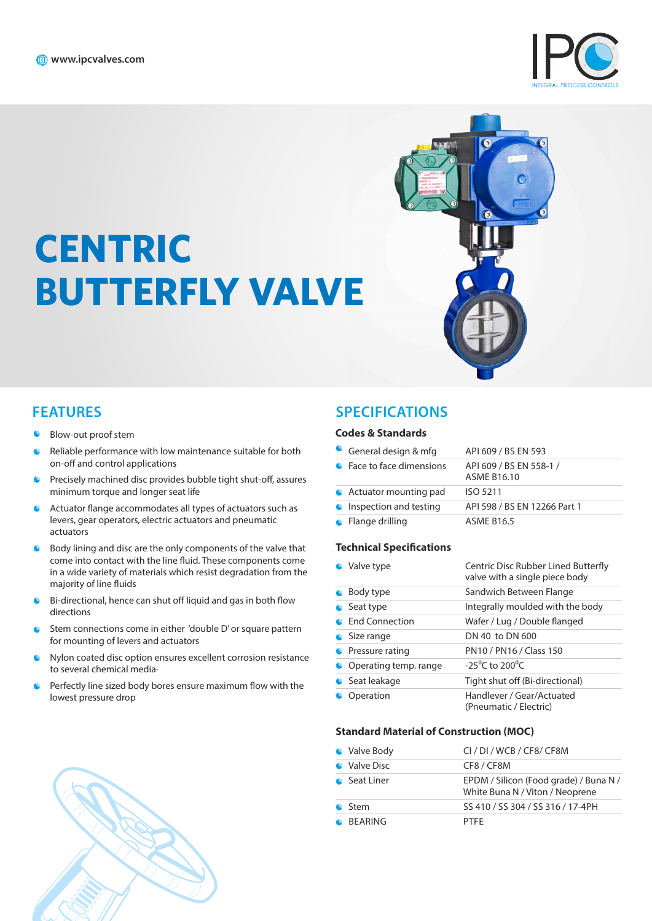**CENTRIC** 





- Blow-out proof stem
- Reliable performance with low maintenance suitable for both on-off and control applications

**BUTTERFLY VALVE**

- Precisely machined disc provides bubble tight shut-off, assures  $\bullet$ minimum torque and longer seat life
- Actuator flange accommodates all types of actuators such as  $\bullet$ levers, gear operators, electric actuators and pneumatic actuators
- Body lining and disc are the only components of the valve that  $\bullet$ come into contact with the line fluid. These components come in a wide variety of materials which resist degradation from the majority of line fluids
- Bi-directional, hence can shut off liquid and gas in both flow  $\bullet$ directions
- Stem connections come in either 'double D' or square pattern for mounting of levers and actuators
- Nylon coated disc option ensures excellent corrosion resistance to several chemical media·
- Perfectly line sized body bores ensure maximum flow with the lowest pressure drop

## **FEATURES SPECIFICATIONS**

#### **Codes & Standards**

| General design & mfg      | API 609 / BS EN 593                           |
|---------------------------|-----------------------------------------------|
| • Face to face dimensions | API 609 / BS EN 558-1 /<br><b>ASME B16.10</b> |
| • Actuator mounting pad   | ISO 5211                                      |
| Inspection and testing    | API 598 / BS EN 12266 Part 1                  |
| $\bullet$ Flange drilling | <b>ASME B16.5</b>                             |

#### **Technical Specifications**

| • Valve type            | Centric Disc Rubber Lined Butterfly<br>valve with a single piece body |
|-------------------------|-----------------------------------------------------------------------|
| • Body type             | Sandwich Between Flange                                               |
| $\bullet$ Seat type     | Integrally moulded with the body                                      |
| • End Connection        | Wafer / Lug / Double flanged                                          |
| $\bullet$ Size range    | DN 40 to DN 600                                                       |
| • Pressure rating       | PN10 / PN16 / Class 150                                               |
| • Operating temp. range | $-25^{\circ}$ C to 200 $^{\circ}$ C                                   |
| Seat leakage            | Tight shut off (Bi-directional)                                       |
| • Operation             | Handlever / Gear/Actuated<br>(Pneumatic / Electric)                   |

#### **Standard Material of Construction (MOC)**

| • Valve Body   | CI / DI / WCB / CF8/ CF8M                                                 |
|----------------|---------------------------------------------------------------------------|
| • Valve Disc   | CF8/CF8M                                                                  |
| • Seat Liner   | EPDM / Silicon (Food grade) / Buna N /<br>White Buna N / Viton / Neoprene |
| $\bullet$ Stem | SS 410 / SS 304 / SS 316 / 17-4PH                                         |
| <b>BEARING</b> | <b>PTFF</b>                                                               |